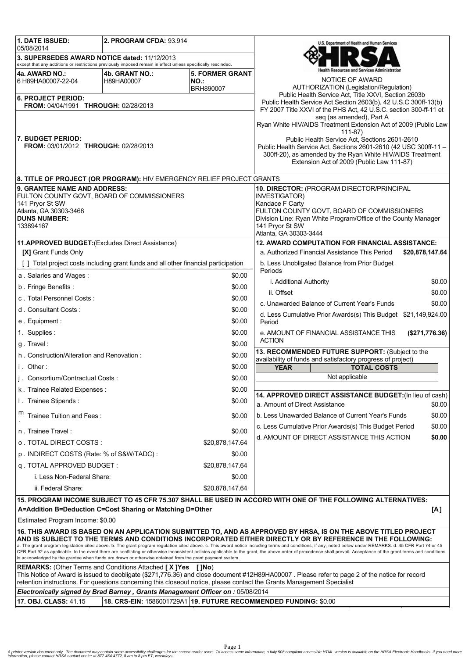| 1. DATE ISSUED:<br>05/08/2014                                                                                                                                                                                                                                                                                                                                                                                                                                                                                                                 | 2. PROGRAM CFDA: 93.914      |                                                                                   | U.S. Department of Health and Human Services                                                                                   |  |  |  |  |
|-----------------------------------------------------------------------------------------------------------------------------------------------------------------------------------------------------------------------------------------------------------------------------------------------------------------------------------------------------------------------------------------------------------------------------------------------------------------------------------------------------------------------------------------------|------------------------------|-----------------------------------------------------------------------------------|--------------------------------------------------------------------------------------------------------------------------------|--|--|--|--|
| 3. SUPERSEDES AWARD NOTICE dated: 11/12/2013                                                                                                                                                                                                                                                                                                                                                                                                                                                                                                  |                              |                                                                                   |                                                                                                                                |  |  |  |  |
| except that any additions or restrictions previously imposed remain in effect unless specifically rescinded.                                                                                                                                                                                                                                                                                                                                                                                                                                  |                              | lealth Resources and Services Administration                                      |                                                                                                                                |  |  |  |  |
| 4a. AWARD NO.:<br>6 H89HA00007-22-04                                                                                                                                                                                                                                                                                                                                                                                                                                                                                                          | 4b. GRANT NO.:<br>H89HA00007 | <b>5. FORMER GRANT</b><br>NO.                                                     | NOTICE OF AWARD                                                                                                                |  |  |  |  |
|                                                                                                                                                                                                                                                                                                                                                                                                                                                                                                                                               |                              | BRH890007                                                                         | AUTHORIZATION (Legislation/Regulation)<br>Public Health Service Act, Title XXVI, Section 2603b                                 |  |  |  |  |
| <b>6. PROJECT PERIOD:</b><br>FROM: 04/04/1991 THROUGH: 02/28/2013                                                                                                                                                                                                                                                                                                                                                                                                                                                                             |                              |                                                                                   | Public Health Service Act Section 2603(b), 42 U.S.C 300ff-13(b)                                                                |  |  |  |  |
|                                                                                                                                                                                                                                                                                                                                                                                                                                                                                                                                               |                              |                                                                                   | FY 2007 Title XXVI of the PHS Act, 42 U.S.C. section 300-ff-11 et<br>seg (as amended), Part A                                  |  |  |  |  |
|                                                                                                                                                                                                                                                                                                                                                                                                                                                                                                                                               |                              |                                                                                   | Ryan White HIV/AIDS Treatment Extension Act of 2009 (Public Law<br>$111 - 87$                                                  |  |  |  |  |
| <b>7. BUDGET PERIOD:</b>                                                                                                                                                                                                                                                                                                                                                                                                                                                                                                                      |                              |                                                                                   | Public Health Service Act, Sections 2601-2610                                                                                  |  |  |  |  |
| <b>FROM: 03/01/2012 THROUGH: 02/28/2013</b>                                                                                                                                                                                                                                                                                                                                                                                                                                                                                                   |                              |                                                                                   | Public Health Service Act, Sections 2601-2610 (42 USC 300ff-11 -<br>300ff-20), as amended by the Ryan White HIV/AIDS Treatment |  |  |  |  |
|                                                                                                                                                                                                                                                                                                                                                                                                                                                                                                                                               |                              | Extension Act of 2009 (Public Law 111-87)                                         |                                                                                                                                |  |  |  |  |
| 8. TITLE OF PROJECT (OR PROGRAM): HIV EMERGENCY RELIEF PROJECT GRANTS                                                                                                                                                                                                                                                                                                                                                                                                                                                                         |                              |                                                                                   |                                                                                                                                |  |  |  |  |
| 9. GRANTEE NAME AND ADDRESS:                                                                                                                                                                                                                                                                                                                                                                                                                                                                                                                  |                              |                                                                                   | 10. DIRECTOR: (PROGRAM DIRECTOR/PRINCIPAL<br>INVESTIGATOR)<br>Kandace F Carty<br>FULTON COUNTY GOVT, BOARD OF COMMISSIONERS    |  |  |  |  |
| FULTON COUNTY GOVT, BOARD OF COMMISSIONERS<br>141 Pryor St SW                                                                                                                                                                                                                                                                                                                                                                                                                                                                                 |                              |                                                                                   |                                                                                                                                |  |  |  |  |
| Atlanta, GA 30303-3468                                                                                                                                                                                                                                                                                                                                                                                                                                                                                                                        |                              |                                                                                   |                                                                                                                                |  |  |  |  |
| <b>DUNS NUMBER:</b><br>133894167                                                                                                                                                                                                                                                                                                                                                                                                                                                                                                              |                              | Division Line: Ryan White Program/Office of the County Manager<br>141 Pryor St SW |                                                                                                                                |  |  |  |  |
|                                                                                                                                                                                                                                                                                                                                                                                                                                                                                                                                               |                              | Atlanta, GA 30303-3444                                                            |                                                                                                                                |  |  |  |  |
| 11.APPROVED BUDGET: (Excludes Direct Assistance)<br>[X] Grant Funds Only                                                                                                                                                                                                                                                                                                                                                                                                                                                                      |                              |                                                                                   | <b>12. AWARD COMPUTATION FOR FINANCIAL ASSISTANCE:</b><br>a. Authorized Financial Assistance This Period<br>\$20,878,147.64    |  |  |  |  |
| [] Total project costs including grant funds and all other financial participation                                                                                                                                                                                                                                                                                                                                                                                                                                                            |                              | b. Less Unobligated Balance from Prior Budget                                     |                                                                                                                                |  |  |  |  |
| a. Salaries and Wages:                                                                                                                                                                                                                                                                                                                                                                                                                                                                                                                        |                              | \$0.00                                                                            | Periods                                                                                                                        |  |  |  |  |
| b. Fringe Benefits:                                                                                                                                                                                                                                                                                                                                                                                                                                                                                                                           |                              | \$0.00                                                                            | \$0.00<br>i. Additional Authority                                                                                              |  |  |  |  |
| c. Total Personnel Costs:                                                                                                                                                                                                                                                                                                                                                                                                                                                                                                                     |                              | \$0.00                                                                            | ii. Offset<br>\$0.00                                                                                                           |  |  |  |  |
| d. Consultant Costs:                                                                                                                                                                                                                                                                                                                                                                                                                                                                                                                          |                              | \$0.00                                                                            | c. Unawarded Balance of Current Year's Funds<br>\$0.00                                                                         |  |  |  |  |
| e. Equipment:                                                                                                                                                                                                                                                                                                                                                                                                                                                                                                                                 |                              | \$0.00                                                                            | d. Less Cumulative Prior Awards(s) This Budget \$21,149,924.00<br>Period                                                       |  |  |  |  |
| f. Supplies:                                                                                                                                                                                                                                                                                                                                                                                                                                                                                                                                  |                              | \$0.00                                                                            | e. AMOUNT OF FINANCIAL ASSISTANCE THIS<br>(\$271,776.36)                                                                       |  |  |  |  |
| g. Travel:                                                                                                                                                                                                                                                                                                                                                                                                                                                                                                                                    |                              | \$0.00                                                                            | <b>ACTION</b>                                                                                                                  |  |  |  |  |
| h. Construction/Alteration and Renovation:                                                                                                                                                                                                                                                                                                                                                                                                                                                                                                    |                              | \$0.00                                                                            | 13. RECOMMENDED FUTURE SUPPORT: (Subject to the<br>availability of funds and satisfactory progress of project)                 |  |  |  |  |
| i. Other:                                                                                                                                                                                                                                                                                                                                                                                                                                                                                                                                     |                              | \$0.00                                                                            | <b>YEAR</b><br><b>TOTAL COSTS</b>                                                                                              |  |  |  |  |
| j. Consortium/Contractual Costs:                                                                                                                                                                                                                                                                                                                                                                                                                                                                                                              |                              | \$0.00                                                                            | Not applicable                                                                                                                 |  |  |  |  |
| k. Trainee Related Expenses:                                                                                                                                                                                                                                                                                                                                                                                                                                                                                                                  |                              | \$0.00                                                                            | 14. APPROVED DIRECT ASSISTANCE BUDGET: (In lieu of cash)                                                                       |  |  |  |  |
| I. Trainee Stipends:                                                                                                                                                                                                                                                                                                                                                                                                                                                                                                                          |                              | \$0.00                                                                            | a. Amount of Direct Assistance<br>\$0.00                                                                                       |  |  |  |  |
| Trainee Tuition and Fees:                                                                                                                                                                                                                                                                                                                                                                                                                                                                                                                     |                              | \$0.00                                                                            | b. Less Unawarded Balance of Current Year's Funds<br>\$0.00                                                                    |  |  |  |  |
| n. Trainee Travel:                                                                                                                                                                                                                                                                                                                                                                                                                                                                                                                            |                              | \$0.00                                                                            | c. Less Cumulative Prior Awards(s) This Budget Period<br>\$0.00                                                                |  |  |  |  |
| o TOTAL DIRECT COSTS :                                                                                                                                                                                                                                                                                                                                                                                                                                                                                                                        |                              | \$20,878,147.64                                                                   | d. AMOUNT OF DIRECT ASSISTANCE THIS ACTION<br>\$0.00                                                                           |  |  |  |  |
| p. INDIRECT COSTS (Rate: % of S&W/TADC):                                                                                                                                                                                                                                                                                                                                                                                                                                                                                                      |                              | \$0.00                                                                            |                                                                                                                                |  |  |  |  |
| q. TOTAL APPROVED BUDGET:                                                                                                                                                                                                                                                                                                                                                                                                                                                                                                                     |                              | \$20,878,147.64                                                                   |                                                                                                                                |  |  |  |  |
| i. Less Non-Federal Share:                                                                                                                                                                                                                                                                                                                                                                                                                                                                                                                    |                              | \$0.00                                                                            |                                                                                                                                |  |  |  |  |
| ii. Federal Share:                                                                                                                                                                                                                                                                                                                                                                                                                                                                                                                            |                              | \$20,878,147.64                                                                   |                                                                                                                                |  |  |  |  |
|                                                                                                                                                                                                                                                                                                                                                                                                                                                                                                                                               |                              |                                                                                   | 15. PROGRAM INCOME SUBJECT TO 45 CFR 75.307 SHALL BE USED IN ACCORD WITH ONE OF THE FOLLOWING ALTERNATIVES:                    |  |  |  |  |
| A=Addition B=Deduction C=Cost Sharing or Matching D=Other<br>[A]                                                                                                                                                                                                                                                                                                                                                                                                                                                                              |                              |                                                                                   |                                                                                                                                |  |  |  |  |
| Estimated Program Income: \$0.00                                                                                                                                                                                                                                                                                                                                                                                                                                                                                                              |                              |                                                                                   |                                                                                                                                |  |  |  |  |
| 16. THIS AWARD IS BASED ON AN APPLICATION SUBMITTED TO, AND AS APPROVED BY HRSA, IS ON THE ABOVE TITLED PROJECT<br>AND IS SUBJECT TO THE TERMS AND CONDITIONS INCORPORATED EITHER DIRECTLY OR BY REFERENCE IN THE FOLLOWING:                                                                                                                                                                                                                                                                                                                  |                              |                                                                                   |                                                                                                                                |  |  |  |  |
| a. The grant program legislation cited above. b. The grant program regulation cited above. c. This award notice including terms and conditions, if any, noted below under REMARKS. d. 45 CFR Part 74 or 45<br>CFR Part 92 as applicable. In the event there are conflicting or otherwise inconsistent policies applicable to the grant, the above order of precedence shall prevail. Acceptance of the grant terms and conditions<br>is acknowledged by the grantee when funds are drawn or otherwise obtained from the grant payment system. |                              |                                                                                   |                                                                                                                                |  |  |  |  |
| <b>REMARKS:</b> (Other Terms and Conditions Attached [X] Yes [JNo)<br>This Notice of Award is issued to deobligate (\$271,776.36) and close document #12H89HA00007. Please refer to page 2 of the notice for record                                                                                                                                                                                                                                                                                                                           |                              |                                                                                   |                                                                                                                                |  |  |  |  |
| retention instructions. For questions concerning this closeout notice, please contact the Grants Management Specialist<br>Electronically signed by Brad Barney, Grants Management Officer on: 05/08/2014                                                                                                                                                                                                                                                                                                                                      |                              |                                                                                   |                                                                                                                                |  |  |  |  |
| 18. CRS-EIN: 1586001729A1 19. FUTURE RECOMMENDED FUNDING: \$0.00<br>17. OBJ. CLASS: 41.15                                                                                                                                                                                                                                                                                                                                                                                                                                                     |                              |                                                                                   |                                                                                                                                |  |  |  |  |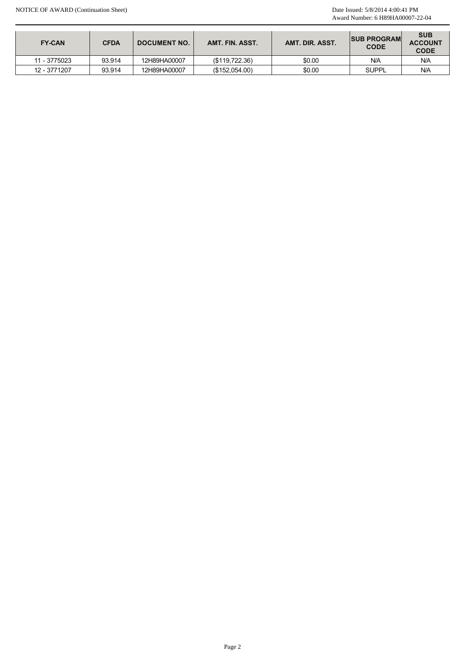|                              |                  |                              |                                  |                  | Award Number: 6 H89HA00007-22-04        |                                      |
|------------------------------|------------------|------------------------------|----------------------------------|------------------|-----------------------------------------|--------------------------------------|
| FY-CAN                       | <b>CFDA</b>      | <b>DOCUMENT NO.</b>          | AMT. FIN. ASST.                  | AMT. DIR. ASST.  | <b>SUB PROGRAM</b><br>$\mathsf{CODE}$   | <b>SUB</b><br><b>ACCOUNT</b><br>CODE |
|                              |                  |                              |                                  |                  |                                         |                                      |
|                              |                  |                              |                                  |                  |                                         |                                      |
| 11 - 3775023<br>12 - 3771207 | 93.914<br>93.914 | 12H89HA00007<br>12H89HA00007 | (\$119,722.36)<br>(\$152,054.00) | \$0.00<br>\$0.00 | $\mathsf{N}/\mathsf{A}$<br><b>SUPPL</b> | $N/A$<br>N/A                         |
|                              |                  |                              |                                  |                  |                                         |                                      |
|                              |                  |                              |                                  |                  |                                         |                                      |
|                              |                  |                              |                                  |                  |                                         |                                      |
|                              |                  |                              |                                  |                  |                                         |                                      |
|                              |                  |                              |                                  |                  |                                         |                                      |
|                              |                  |                              |                                  |                  |                                         |                                      |
|                              |                  |                              |                                  |                  |                                         |                                      |
|                              |                  |                              |                                  |                  |                                         |                                      |
|                              |                  |                              |                                  |                  |                                         |                                      |
|                              |                  |                              |                                  |                  |                                         |                                      |
|                              |                  |                              | Page 2                           |                  |                                         |                                      |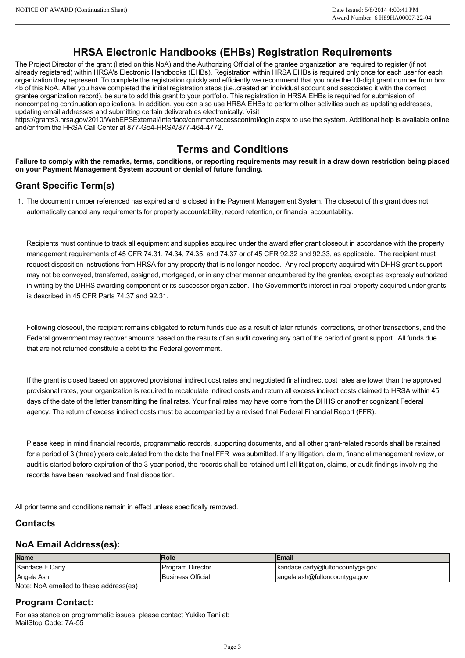## **HRSA Electronic Handbooks (EHBs) Registration Requirements**

The Project Director of the grant (listed on this NoA) and the Authorizing Official of the grantee organization are required to register (if not already registered) within HRSA's Electronic Handbooks (EHBs). Registration within HRSA EHBs is required only once for each user for each organization they represent. To complete the registration quickly and efficiently we recommend that you note the 10-digit grant number from box 4b of this NoA. After you have completed the initial registration steps (i.e.,created an individual account and associated it with the correct grantee organization record), be sure to add this grant to your portfolio. This registration in HRSA EHBs is required for submission of noncompeting continuation applications. In addition, you can also use HRSA EHBs to perform other activities such as updating addresses, updating email addresses and submitting certain deliverables electronically. Visit

https://grants3.hrsa.gov/2010/WebEPSExternal/Interface/common/accesscontrol/login.aspx to use the system. Additional help is available online and/or from the HRSA Call Center at 877-Go4-HRSA/877-464-4772.

# **Terms and Conditions**

**Failure to comply with the remarks, terms, conditions, or reporting requirements may result in a draw down restriction being placed on your Payment Management System account or denial of future funding.**

## **Grant Specific Term(s)**

1. The document number referenced has expired and is closed in the Payment Management System. The closeout of this grant does not automatically cancel any requirements for property accountability, record retention, or financial accountability.

Recipients must continue to track all equipment and supplies acquired under the award after grant closeout in accordance with the property management requirements of 45 CFR 74.31, 74.34, 74.35, and 74.37 or of 45 CFR 92.32 and 92.33, as applicable. The recipient must request disposition instructions from HRSA for any property that is no longer needed. Any real property acquired with DHHS grant support may not be conveyed, transferred, assigned, mortgaged, or in any other manner encumbered by the grantee, except as expressly authorized in writing by the DHHS awarding component or its successor organization. The Government's interest in real property acquired under grants is described in 45 CFR Parts 74.37 and 92.31. Award Number: 6 H89HA0007-22-04<br>
(mg) Official of the consteal organization on encountering the model of the constrained of the constrained to represent the model of the constrained organization on the constrained to repre

Following closeout, the recipient remains obligated to return funds due as a result of later refunds, corrections, or other transactions, and the Federal government may recover amounts based on the results of an audit covering any part of the period of grant support. All funds due that are not returned constitute a debt to the Federal government.

If the grant is closed based on approved provisional indirect cost rates and negotiated final indirect cost rates are lower than the approved provisional rates, your organization is required to recalculate indirect costs and return all excess indirect costs claimed to HRSA within 45 days of the date of the letter transmitting the final rates. Your final rates may have come from the DHHS or another cognizant Federal agency. The return of excess indirect costs must be accompanied by a revised final Federal Financial Report (FFR).

Please keep in mind financial records, programmatic records, supporting documents, and all other grant-related records shall be retained for a period of 3 (three) years calculated from the date the final FFR was submitted. If any litigation, claim, financial management review, or audit is started before expiration of the 3year period, the records shall be retained until all litigation, claims, or audit findings involving the records have been resolved and final disposition.

All prior terms and conditions remain in effect unless specifically removed.

#### **Contacts**

#### **NoA Email Address(es):**

| <b>Name</b>     | <b>Role</b>              | Email                            |
|-----------------|--------------------------|----------------------------------|
| Kandace F Carty | Program Director         | kandace.carty@fultoncountyga.gov |
| Angela Ash      | <b>Business Official</b> | angela.ash@fultoncountyga.gov    |

Note: NoA emailed to these address(es)

#### **Program Contact:**

For assistance on programmatic issues, please contact Yukiko Tani at: MailStop Code: 7A-55